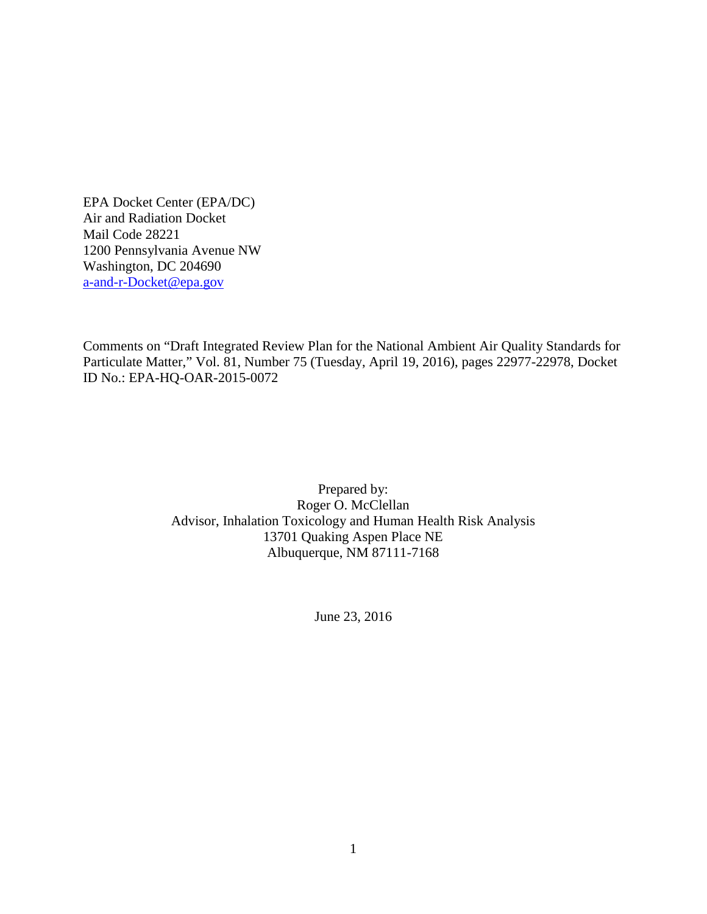EPA Docket Center (EPA/DC) Air and Radiation Docket Mail Code 28221 1200 Pennsylvania Avenue NW Washington, DC 204690 [a-and-r-Docket@epa.gov](mailto:a-and-r-Docket@epa.gov)

Comments on "Draft Integrated Review Plan for the National Ambient Air Quality Standards for Particulate Matter," Vol. 81, Number 75 (Tuesday, April 19, 2016), pages 22977-22978, Docket ID No.: EPA-HQ-OAR-2015-0072

> Prepared by: Roger O. McClellan Advisor, Inhalation Toxicology and Human Health Risk Analysis 13701 Quaking Aspen Place NE Albuquerque, NM 87111-7168

> > June 23, 2016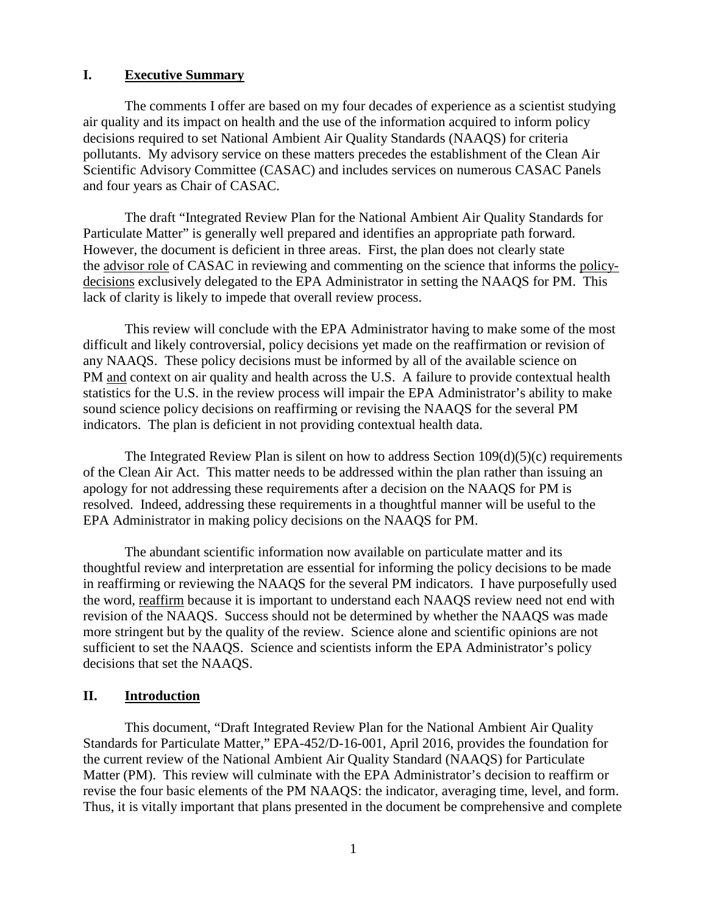## **I. Executive Summary**

The comments I offer are based on my four decades of experience as a scientist studying air quality and its impact on health and the use of the information acquired to inform policy decisions required to set National Ambient Air Quality Standards (NAAQS) for criteria pollutants. My advisory service on these matters precedes the establishment of the Clean Air Scientific Advisory Committee (CASAC) and includes services on numerous CASAC Panels and four years as Chair of CASAC.

The draft "Integrated Review Plan for the National Ambient Air Quality Standards for Particulate Matter" is generally well prepared and identifies an appropriate path forward. However, the document is deficient in three areas. First, the plan does not clearly state the advisor role of CASAC in reviewing and commenting on the science that informs the policydecisions exclusively delegated to the EPA Administrator in setting the NAAQS for PM. This lack of clarity is likely to impede that overall review process.

This review will conclude with the EPA Administrator having to make some of the most difficult and likely controversial, policy decisions yet made on the reaffirmation or revision of any NAAQS. These policy decisions must be informed by all of the available science on PM and context on air quality and health across the U.S. A failure to provide contextual health statistics for the U.S. in the review process will impair the EPA Administrator's ability to make sound science policy decisions on reaffirming or revising the NAAQS for the several PM indicators. The plan is deficient in not providing contextual health data.

The Integrated Review Plan is silent on how to address Section 109(d)(5)(c) requirements of the Clean Air Act. This matter needs to be addressed within the plan rather than issuing an apology for not addressing these requirements after a decision on the NAAQS for PM is resolved. Indeed, addressing these requirements in a thoughtful manner will be useful to the EPA Administrator in making policy decisions on the NAAQS for PM.

The abundant scientific information now available on particulate matter and its thoughtful review and interpretation are essential for informing the policy decisions to be made in reaffirming or reviewing the NAAQS for the several PM indicators. I have purposefully used the word, reaffirm because it is important to understand each NAAQS review need not end with revision of the NAAQS. Success should not be determined by whether the NAAQS was made more stringent but by the quality of the review. Science alone and scientific opinions are not sufficient to set the NAAQS. Science and scientists inform the EPA Administrator's policy decisions that set the NAAQS.

#### **II. Introduction**

This document, "Draft Integrated Review Plan for the National Ambient Air Quality Standards for Particulate Matter," EPA-452/D-16-001, April 2016, provides the foundation for the current review of the National Ambient Air Quality Standard (NAAQS) for Particulate Matter (PM). This review will culminate with the EPA Administrator's decision to reaffirm or revise the four basic elements of the PM NAAQS: the indicator, averaging time, level, and form. Thus, it is vitally important that plans presented in the document be comprehensive and complete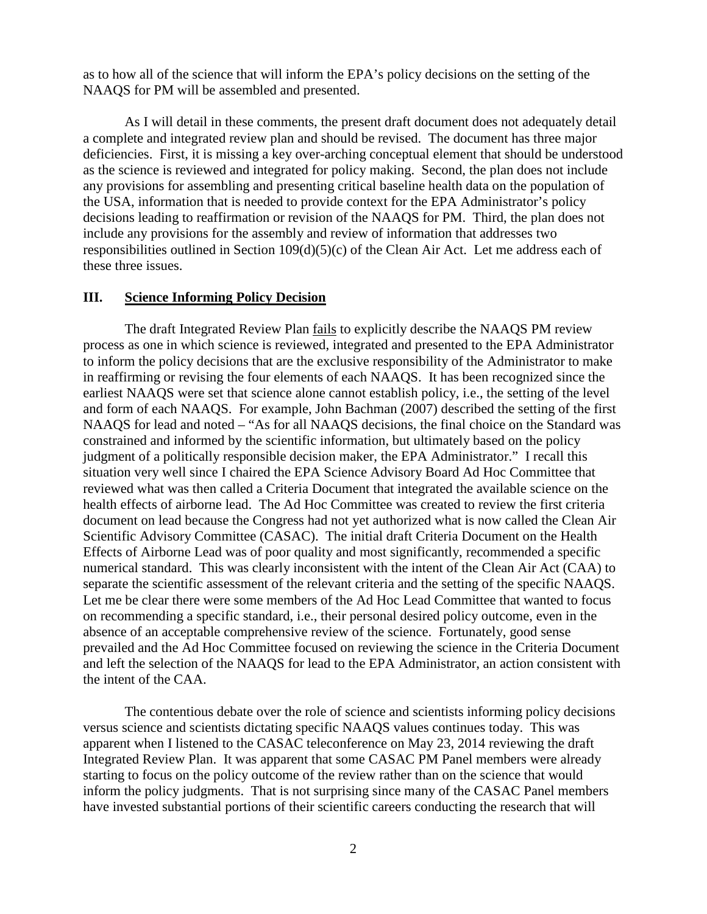as to how all of the science that will inform the EPA's policy decisions on the setting of the NAAQS for PM will be assembled and presented.

As I will detail in these comments, the present draft document does not adequately detail a complete and integrated review plan and should be revised. The document has three major deficiencies. First, it is missing a key over-arching conceptual element that should be understood as the science is reviewed and integrated for policy making. Second, the plan does not include any provisions for assembling and presenting critical baseline health data on the population of the USA, information that is needed to provide context for the EPA Administrator's policy decisions leading to reaffirmation or revision of the NAAQS for PM. Third, the plan does not include any provisions for the assembly and review of information that addresses two responsibilities outlined in Section 109(d)(5)(c) of the Clean Air Act. Let me address each of these three issues.

#### **III. Science Informing Policy Decision**

The draft Integrated Review Plan fails to explicitly describe the NAAQS PM review process as one in which science is reviewed, integrated and presented to the EPA Administrator to inform the policy decisions that are the exclusive responsibility of the Administrator to make in reaffirming or revising the four elements of each NAAQS. It has been recognized since the earliest NAAQS were set that science alone cannot establish policy, i.e., the setting of the level and form of each NAAQS. For example, John Bachman (2007) described the setting of the first NAAQS for lead and noted – "As for all NAAQS decisions, the final choice on the Standard was constrained and informed by the scientific information, but ultimately based on the policy judgment of a politically responsible decision maker, the EPA Administrator." I recall this situation very well since I chaired the EPA Science Advisory Board Ad Hoc Committee that reviewed what was then called a Criteria Document that integrated the available science on the health effects of airborne lead. The Ad Hoc Committee was created to review the first criteria document on lead because the Congress had not yet authorized what is now called the Clean Air Scientific Advisory Committee (CASAC). The initial draft Criteria Document on the Health Effects of Airborne Lead was of poor quality and most significantly, recommended a specific numerical standard. This was clearly inconsistent with the intent of the Clean Air Act (CAA) to separate the scientific assessment of the relevant criteria and the setting of the specific NAAQS. Let me be clear there were some members of the Ad Hoc Lead Committee that wanted to focus on recommending a specific standard, i.e., their personal desired policy outcome, even in the absence of an acceptable comprehensive review of the science. Fortunately, good sense prevailed and the Ad Hoc Committee focused on reviewing the science in the Criteria Document and left the selection of the NAAQS for lead to the EPA Administrator, an action consistent with the intent of the CAA.

The contentious debate over the role of science and scientists informing policy decisions versus science and scientists dictating specific NAAQS values continues today. This was apparent when I listened to the CASAC teleconference on May 23, 2014 reviewing the draft Integrated Review Plan. It was apparent that some CASAC PM Panel members were already starting to focus on the policy outcome of the review rather than on the science that would inform the policy judgments. That is not surprising since many of the CASAC Panel members have invested substantial portions of their scientific careers conducting the research that will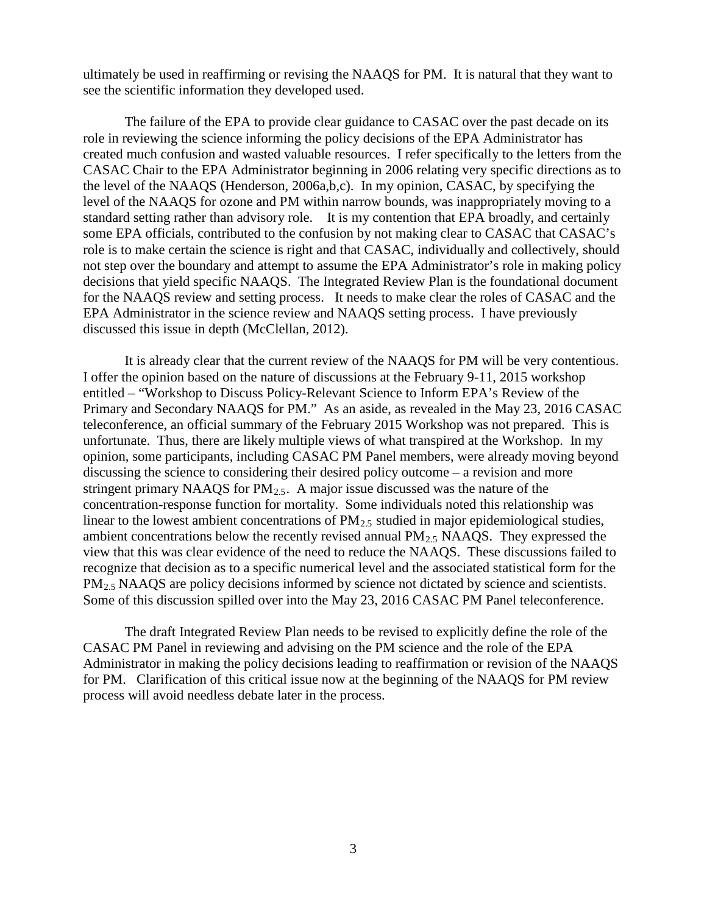ultimately be used in reaffirming or revising the NAAQS for PM. It is natural that they want to see the scientific information they developed used.

The failure of the EPA to provide clear guidance to CASAC over the past decade on its role in reviewing the science informing the policy decisions of the EPA Administrator has created much confusion and wasted valuable resources. I refer specifically to the letters from the CASAC Chair to the EPA Administrator beginning in 2006 relating very specific directions as to the level of the NAAQS (Henderson, 2006a,b,c). In my opinion, CASAC, by specifying the level of the NAAQS for ozone and PM within narrow bounds, was inappropriately moving to a standard setting rather than advisory role. It is my contention that EPA broadly, and certainly some EPA officials, contributed to the confusion by not making clear to CASAC that CASAC's role is to make certain the science is right and that CASAC, individually and collectively, should not step over the boundary and attempt to assume the EPA Administrator's role in making policy decisions that yield specific NAAQS. The Integrated Review Plan is the foundational document for the NAAQS review and setting process. It needs to make clear the roles of CASAC and the EPA Administrator in the science review and NAAQS setting process. I have previously discussed this issue in depth (McClellan, 2012).

It is already clear that the current review of the NAAQS for PM will be very contentious. I offer the opinion based on the nature of discussions at the February 9-11, 2015 workshop entitled – "Workshop to Discuss Policy-Relevant Science to Inform EPA's Review of the Primary and Secondary NAAQS for PM." As an aside, as revealed in the May 23, 2016 CASAC teleconference, an official summary of the February 2015 Workshop was not prepared. This is unfortunate. Thus, there are likely multiple views of what transpired at the Workshop. In my opinion, some participants, including CASAC PM Panel members, were already moving beyond discussing the science to considering their desired policy outcome – a revision and more stringent primary NAAQS for  $PM_{2.5}$ . A major issue discussed was the nature of the concentration-response function for mortality. Some individuals noted this relationship was linear to the lowest ambient concentrations of  $PM_{2.5}$  studied in major epidemiological studies, ambient concentrations below the recently revised annual  $PM<sub>2.5</sub> NAAQS$ . They expressed the view that this was clear evidence of the need to reduce the NAAQS. These discussions failed to recognize that decision as to a specific numerical level and the associated statistical form for the PM<sub>2.5</sub> NAAQS are policy decisions informed by science not dictated by science and scientists. Some of this discussion spilled over into the May 23, 2016 CASAC PM Panel teleconference.

The draft Integrated Review Plan needs to be revised to explicitly define the role of the CASAC PM Panel in reviewing and advising on the PM science and the role of the EPA Administrator in making the policy decisions leading to reaffirmation or revision of the NAAQS for PM. Clarification of this critical issue now at the beginning of the NAAQS for PM review process will avoid needless debate later in the process.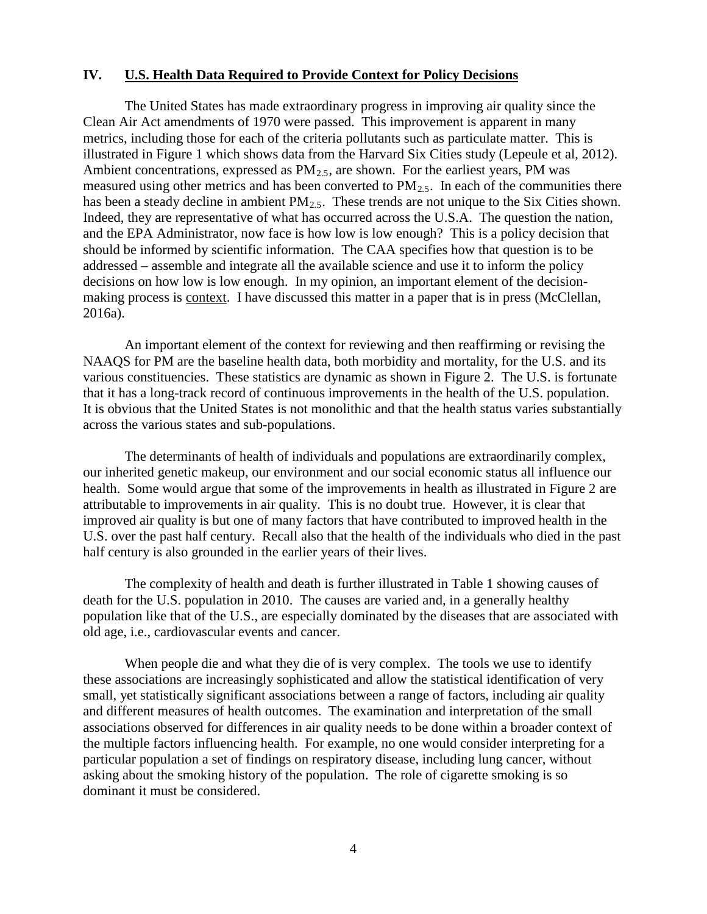#### **IV. U.S. Health Data Required to Provide Context for Policy Decisions**

The United States has made extraordinary progress in improving air quality since the Clean Air Act amendments of 1970 were passed. This improvement is apparent in many metrics, including those for each of the criteria pollutants such as particulate matter. This is illustrated in Figure 1 which shows data from the Harvard Six Cities study (Lepeule et al, 2012). Ambient concentrations, expressed as  $PM<sub>2.5</sub>$ , are shown. For the earliest years, PM was measured using other metrics and has been converted to  $PM_{2.5}$ . In each of the communities there has been a steady decline in ambient  $PM_{2.5}$ . These trends are not unique to the Six Cities shown. Indeed, they are representative of what has occurred across the U.S.A. The question the nation, and the EPA Administrator, now face is how low is low enough? This is a policy decision that should be informed by scientific information. The CAA specifies how that question is to be addressed – assemble and integrate all the available science and use it to inform the policy decisions on how low is low enough. In my opinion, an important element of the decisionmaking process is context. I have discussed this matter in a paper that is in press (McClellan, 2016a).

An important element of the context for reviewing and then reaffirming or revising the NAAQS for PM are the baseline health data, both morbidity and mortality, for the U.S. and its various constituencies. These statistics are dynamic as shown in Figure 2. The U.S. is fortunate that it has a long-track record of continuous improvements in the health of the U.S. population. It is obvious that the United States is not monolithic and that the health status varies substantially across the various states and sub-populations.

The determinants of health of individuals and populations are extraordinarily complex, our inherited genetic makeup, our environment and our social economic status all influence our health. Some would argue that some of the improvements in health as illustrated in Figure 2 are attributable to improvements in air quality. This is no doubt true. However, it is clear that improved air quality is but one of many factors that have contributed to improved health in the U.S. over the past half century. Recall also that the health of the individuals who died in the past half century is also grounded in the earlier years of their lives.

The complexity of health and death is further illustrated in Table 1 showing causes of death for the U.S. population in 2010. The causes are varied and, in a generally healthy population like that of the U.S., are especially dominated by the diseases that are associated with old age, i.e., cardiovascular events and cancer.

When people die and what they die of is very complex. The tools we use to identify these associations are increasingly sophisticated and allow the statistical identification of very small, yet statistically significant associations between a range of factors, including air quality and different measures of health outcomes. The examination and interpretation of the small associations observed for differences in air quality needs to be done within a broader context of the multiple factors influencing health. For example, no one would consider interpreting for a particular population a set of findings on respiratory disease, including lung cancer, without asking about the smoking history of the population. The role of cigarette smoking is so dominant it must be considered.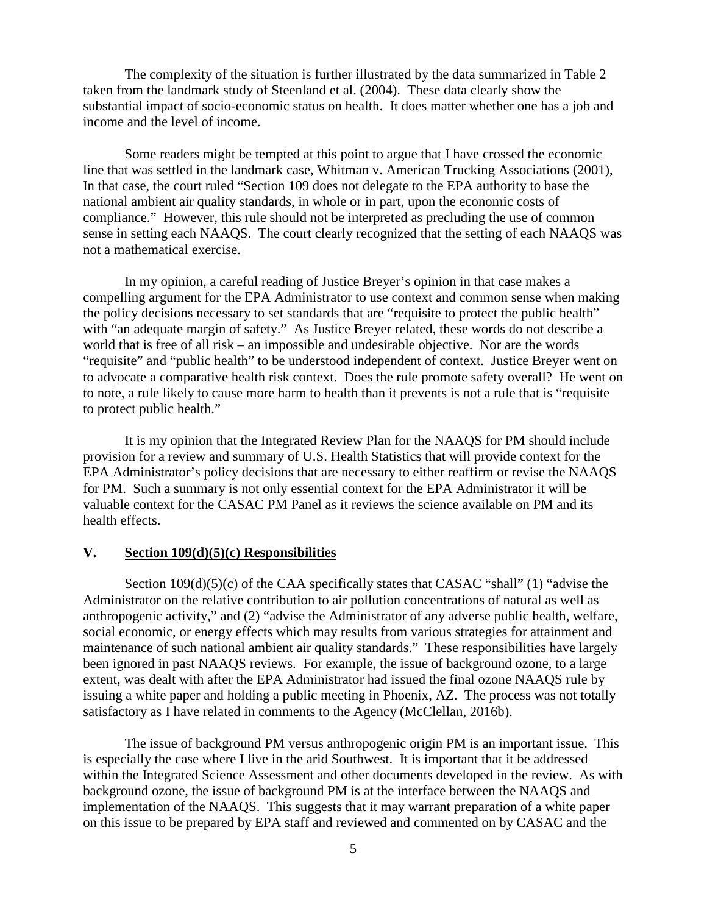The complexity of the situation is further illustrated by the data summarized in Table 2 taken from the landmark study of Steenland et al. (2004). These data clearly show the substantial impact of socio-economic status on health. It does matter whether one has a job and income and the level of income.

Some readers might be tempted at this point to argue that I have crossed the economic line that was settled in the landmark case, Whitman v. American Trucking Associations (2001), In that case, the court ruled "Section 109 does not delegate to the EPA authority to base the national ambient air quality standards, in whole or in part, upon the economic costs of compliance." However, this rule should not be interpreted as precluding the use of common sense in setting each NAAQS. The court clearly recognized that the setting of each NAAQS was not a mathematical exercise.

In my opinion, a careful reading of Justice Breyer's opinion in that case makes a compelling argument for the EPA Administrator to use context and common sense when making the policy decisions necessary to set standards that are "requisite to protect the public health" with "an adequate margin of safety." As Justice Breyer related, these words do not describe a world that is free of all risk – an impossible and undesirable objective. Nor are the words "requisite" and "public health" to be understood independent of context. Justice Breyer went on to advocate a comparative health risk context. Does the rule promote safety overall? He went on to note, a rule likely to cause more harm to health than it prevents is not a rule that is "requisite to protect public health."

It is my opinion that the Integrated Review Plan for the NAAQS for PM should include provision for a review and summary of U.S. Health Statistics that will provide context for the EPA Administrator's policy decisions that are necessary to either reaffirm or revise the NAAQS for PM. Such a summary is not only essential context for the EPA Administrator it will be valuable context for the CASAC PM Panel as it reviews the science available on PM and its health effects.

#### **V. Section 109(d)(5)(c) Responsibilities**

Section 109(d)(5)(c) of the CAA specifically states that CASAC "shall" (1) "advise the Administrator on the relative contribution to air pollution concentrations of natural as well as anthropogenic activity," and (2) "advise the Administrator of any adverse public health, welfare, social economic, or energy effects which may results from various strategies for attainment and maintenance of such national ambient air quality standards." These responsibilities have largely been ignored in past NAAQS reviews. For example, the issue of background ozone, to a large extent, was dealt with after the EPA Administrator had issued the final ozone NAAQS rule by issuing a white paper and holding a public meeting in Phoenix, AZ. The process was not totally satisfactory as I have related in comments to the Agency (McClellan, 2016b).

The issue of background PM versus anthropogenic origin PM is an important issue. This is especially the case where I live in the arid Southwest. It is important that it be addressed within the Integrated Science Assessment and other documents developed in the review. As with background ozone, the issue of background PM is at the interface between the NAAQS and implementation of the NAAQS. This suggests that it may warrant preparation of a white paper on this issue to be prepared by EPA staff and reviewed and commented on by CASAC and the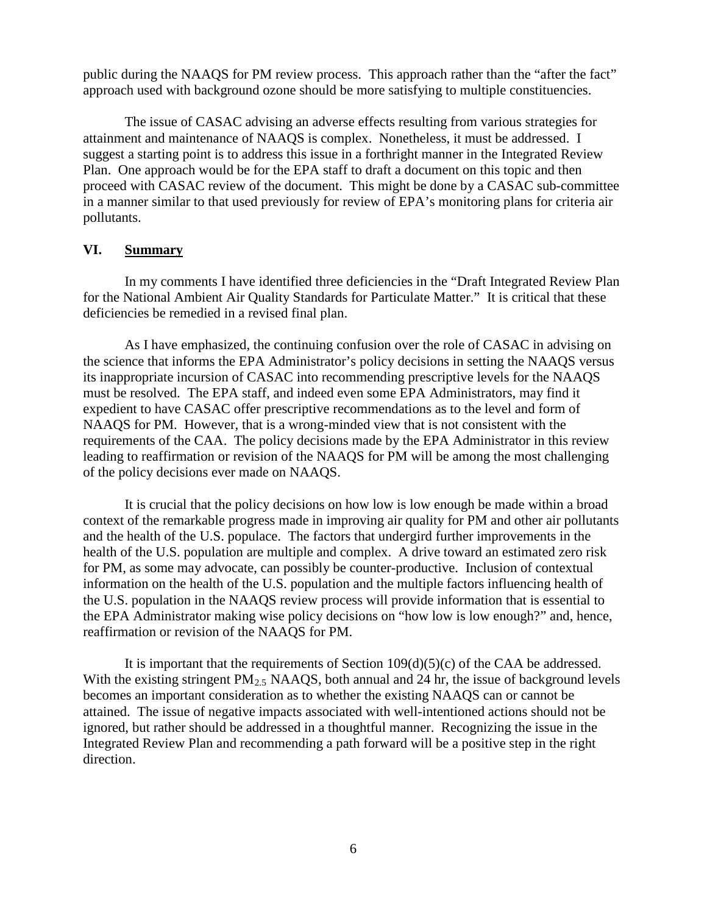public during the NAAQS for PM review process. This approach rather than the "after the fact" approach used with background ozone should be more satisfying to multiple constituencies.

The issue of CASAC advising an adverse effects resulting from various strategies for attainment and maintenance of NAAQS is complex. Nonetheless, it must be addressed. I suggest a starting point is to address this issue in a forthright manner in the Integrated Review Plan. One approach would be for the EPA staff to draft a document on this topic and then proceed with CASAC review of the document. This might be done by a CASAC sub-committee in a manner similar to that used previously for review of EPA's monitoring plans for criteria air pollutants.

## **VI. Summary**

In my comments I have identified three deficiencies in the "Draft Integrated Review Plan for the National Ambient Air Quality Standards for Particulate Matter." It is critical that these deficiencies be remedied in a revised final plan.

As I have emphasized, the continuing confusion over the role of CASAC in advising on the science that informs the EPA Administrator's policy decisions in setting the NAAQS versus its inappropriate incursion of CASAC into recommending prescriptive levels for the NAAQS must be resolved. The EPA staff, and indeed even some EPA Administrators, may find it expedient to have CASAC offer prescriptive recommendations as to the level and form of NAAQS for PM. However, that is a wrong-minded view that is not consistent with the requirements of the CAA. The policy decisions made by the EPA Administrator in this review leading to reaffirmation or revision of the NAAQS for PM will be among the most challenging of the policy decisions ever made on NAAQS.

It is crucial that the policy decisions on how low is low enough be made within a broad context of the remarkable progress made in improving air quality for PM and other air pollutants and the health of the U.S. populace. The factors that undergird further improvements in the health of the U.S. population are multiple and complex. A drive toward an estimated zero risk for PM, as some may advocate, can possibly be counter-productive. Inclusion of contextual information on the health of the U.S. population and the multiple factors influencing health of the U.S. population in the NAAQS review process will provide information that is essential to the EPA Administrator making wise policy decisions on "how low is low enough?" and, hence, reaffirmation or revision of the NAAQS for PM.

It is important that the requirements of Section  $109(d)(5)(c)$  of the CAA be addressed. With the existing stringent  $PM_{2.5}$  NAAQS, both annual and 24 hr, the issue of background levels becomes an important consideration as to whether the existing NAAQS can or cannot be attained. The issue of negative impacts associated with well-intentioned actions should not be ignored, but rather should be addressed in a thoughtful manner. Recognizing the issue in the Integrated Review Plan and recommending a path forward will be a positive step in the right direction.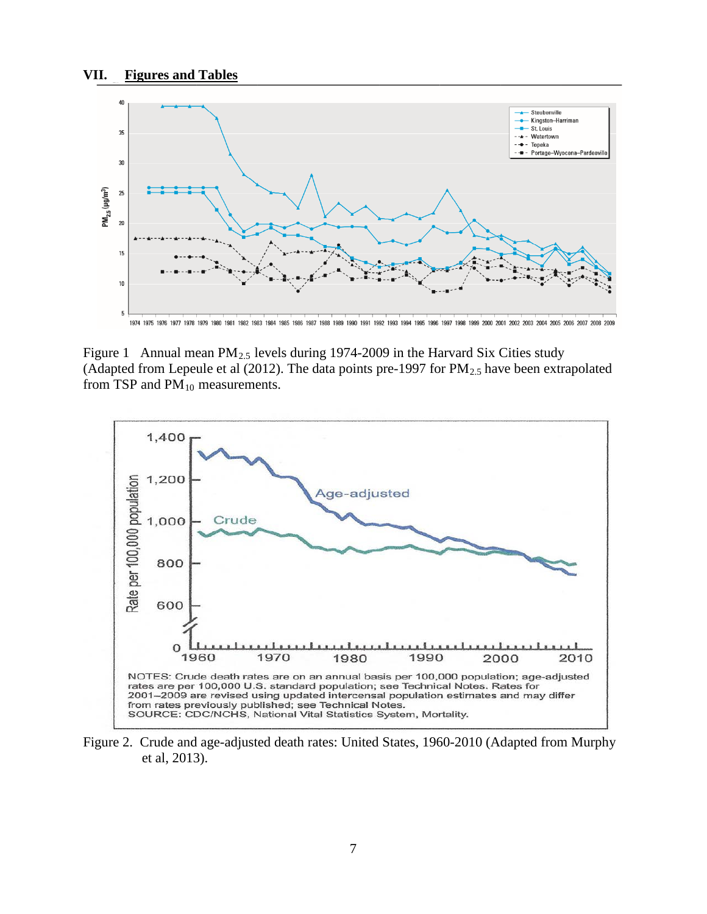

1974 1976 1977 1978 1979 1980 1981 1982 1983 1984 1985 1986 1987 1988 1989 1990 1991 1992 1993 1994 1995 1996 1997 1998 1999 2000 2001 2002 2003 2004 2005 2006 2007 2008 2009

Figure 1 Annual mean  $PM_{2.5}$  levels during 1974-2009 in the Harvard Six Cities study (Adapted from Lepeule et al (2012). The data points pre-1997 for  $PM_{2.5}$  have been extrapolated from TSP and  $PM_{10}$  measurements.



Figure 2. Crude and age-adjusted death rates: United States, 1960-2010 (Adapted from Murphy et al, 2013).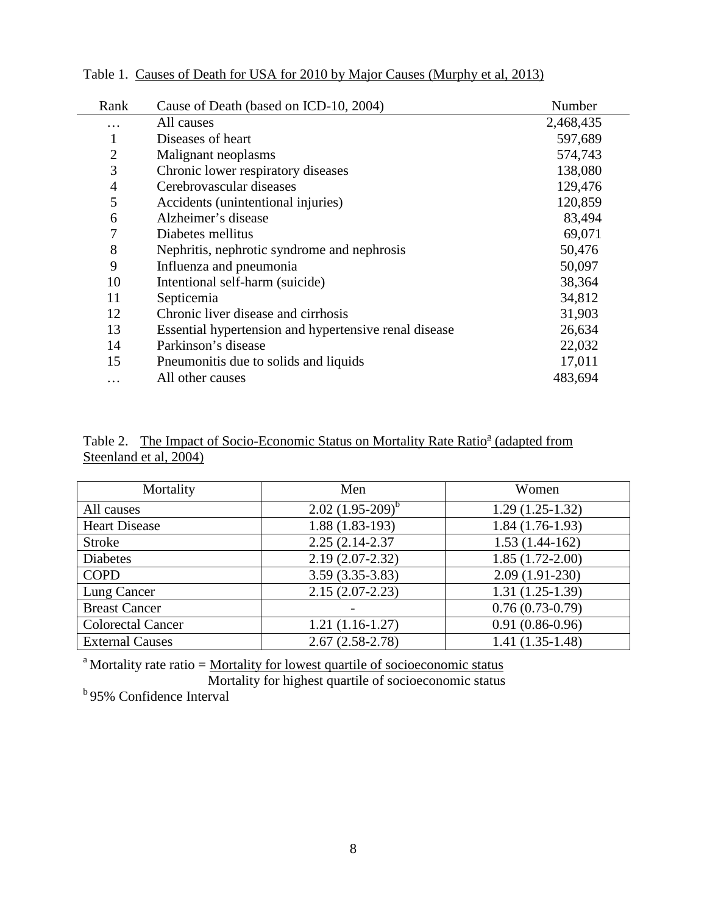| Rank           | Cause of Death (based on ICD-10, 2004)                | Number    |
|----------------|-------------------------------------------------------|-----------|
| .              | All causes                                            | 2,468,435 |
| 1              | Diseases of heart                                     | 597,689   |
| $\overline{2}$ | Malignant neoplasms                                   | 574,743   |
| 3              | Chronic lower respiratory diseases                    | 138,080   |
| $\overline{4}$ | Cerebrovascular diseases                              | 129,476   |
| 5              | Accidents (unintentional injuries)                    | 120,859   |
| 6              | Alzheimer's disease                                   | 83,494    |
| 7              | Diabetes mellitus                                     | 69,071    |
| 8              | Nephritis, nephrotic syndrome and nephrosis           | 50,476    |
| 9              | Influenza and pneumonia                               | 50,097    |
| 10             | Intentional self-harm (suicide)                       | 38,364    |
| 11             | Septicemia                                            | 34,812    |
| 12             | Chronic liver disease and cirrhosis                   | 31,903    |
| 13             | Essential hypertension and hypertensive renal disease | 26,634    |
| 14             | Parkinson's disease                                   | 22,032    |
| 15             | Pneumonitis due to solids and liquids                 | 17,011    |
| $\cdots$       | All other causes                                      | 483,694   |

Table 1. Causes of Death for USA for 2010 by Major Causes (Murphy et al, 2013)

|                        | Table 2. The Impact of Socio-Economic Status on Mortality Rate Ratio <sup>a</sup> (adapted from |  |  |  |
|------------------------|-------------------------------------------------------------------------------------------------|--|--|--|
| Steenland et al, 2004) |                                                                                                 |  |  |  |

| Mortality                | Men                  | Women             |
|--------------------------|----------------------|-------------------|
| All causes               | $2.02(1.95-209)^{b}$ | $1.29(1.25-1.32)$ |
| <b>Heart Disease</b>     | $1.88(1.83-193)$     | $1.84(1.76-1.93)$ |
| <b>Stroke</b>            | 2.25 (2.14-2.37)     | $1.53(1.44-162)$  |
| <b>Diabetes</b>          | $2.19(2.07 - 2.32)$  | $1.85(1.72-2.00)$ |
| <b>COPD</b>              | $3.59(3.35-3.83)$    | $2.09(1.91-230)$  |
| Lung Cancer              | $2.15(2.07-2.23)$    | $1.31(1.25-1.39)$ |
| <b>Breast Cancer</b>     |                      | $0.76(0.73-0.79)$ |
| <b>Colorectal Cancer</b> | $1.21(1.16-1.27)$    | $0.91(0.86-0.96)$ |
| <b>External Causes</b>   | $2.67(2.58-2.78)$    | $1.41(1.35-1.48)$ |

<sup>a</sup> Mortality rate ratio = Mortality for lowest quartile of socioeconomic status

 Mortality for highest quartile of socioeconomic status <sup>b</sup> 95% Confidence Interval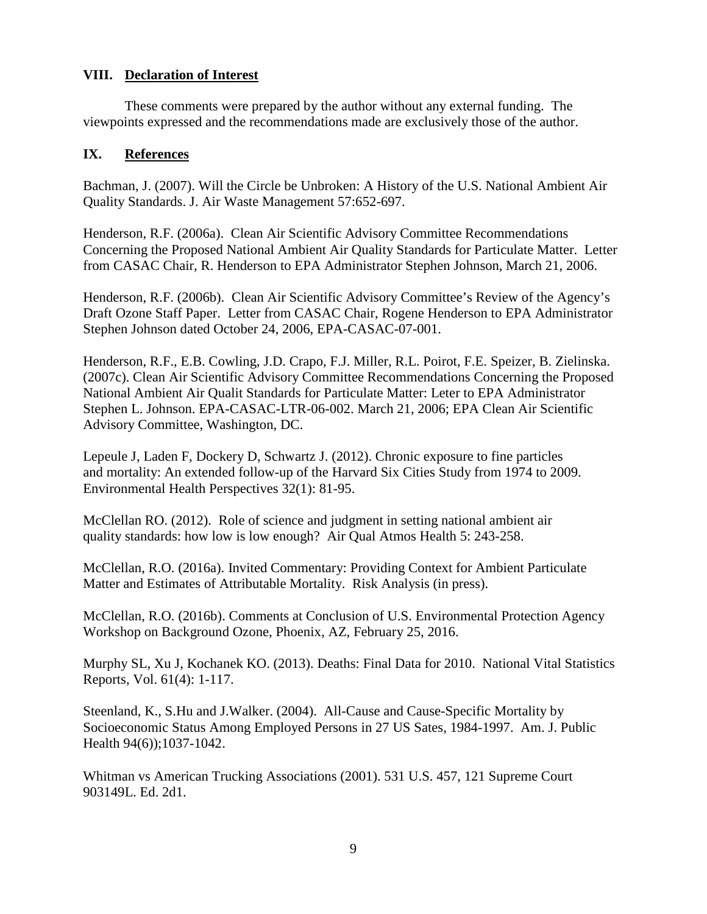# **VIII. Declaration of Interest**

These comments were prepared by the author without any external funding. The viewpoints expressed and the recommendations made are exclusively those of the author.

# **IX. References**

Bachman, J. (2007). Will the Circle be Unbroken: A History of the U.S. National Ambient Air Quality Standards. J. Air Waste Management 57:652-697.

Henderson, R.F. (2006a). Clean Air Scientific Advisory Committee Recommendations Concerning the Proposed National Ambient Air Quality Standards for Particulate Matter. Letter from CASAC Chair, R. Henderson to EPA Administrator Stephen Johnson, March 21, 2006.

Henderson, R.F. (2006b). Clean Air Scientific Advisory Committee's Review of the Agency's Draft Ozone Staff Paper. Letter from CASAC Chair, Rogene Henderson to EPA Administrator Stephen Johnson dated October 24, 2006, EPA-CASAC-07-001.

Henderson, R.F., E.B. Cowling, J.D. Crapo, F.J. Miller, R.L. Poirot, F.E. Speizer, B. Zielinska. (2007c). Clean Air Scientific Advisory Committee Recommendations Concerning the Proposed National Ambient Air Qualit Standards for Particulate Matter: Leter to EPA Administrator Stephen L. Johnson. EPA-CASAC-LTR-06-002. March 21, 2006; EPA Clean Air Scientific Advisory Committee, Washington, DC.

Lepeule J, Laden F, Dockery D, Schwartz J. (2012). Chronic exposure to fine particles and mortality: An extended follow-up of the Harvard Six Cities Study from 1974 to 2009. Environmental Health Perspectives 32(1): 81-95.

McClellan RO. (2012). Role of science and judgment in setting national ambient air quality standards: how low is low enough? Air Qual Atmos Health 5: 243-258.

McClellan, R.O. (2016a). Invited Commentary: Providing Context for Ambient Particulate Matter and Estimates of Attributable Mortality. Risk Analysis (in press).

McClellan, R.O. (2016b). Comments at Conclusion of U.S. Environmental Protection Agency Workshop on Background Ozone, Phoenix, AZ, February 25, 2016.

Murphy SL, Xu J, Kochanek KO. (2013). Deaths: Final Data for 2010. National Vital Statistics Reports, Vol. 61(4): 1-117.

Steenland, K., S.Hu and J.Walker. (2004). All-Cause and Cause-Specific Mortality by Socioeconomic Status Among Employed Persons in 27 US Sates, 1984-1997. Am. J. Public Health 94(6));1037-1042.

Whitman vs American Trucking Associations (2001). 531 U.S. 457, 121 Supreme Court 903149L. Ed. 2d1.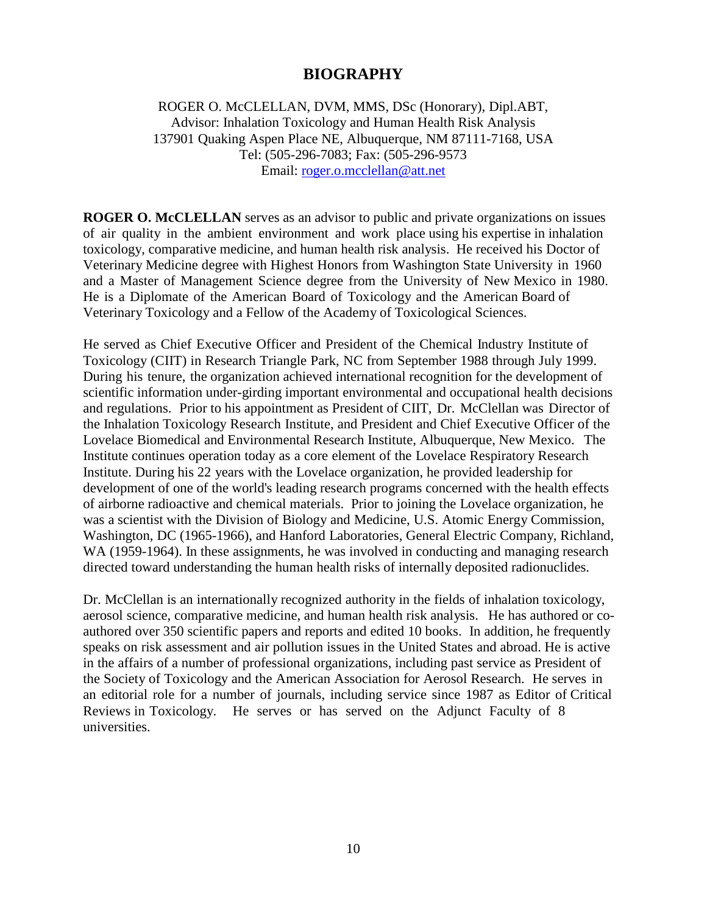# **BIOGRAPHY**

ROGER O. McCLELLAN, DVM, MMS, DSc (Honorary), Dipl.ABT, Advisor: Inhalation Toxicology and Human Health Risk Analysis 137901 Quaking Aspen Place NE, Albuquerque, NM 87111-7168, USA Tel: (505-296-7083; Fax: (505-296-9573 Email: [roger.o.mcclellan@att.net](mailto:roger.o.mcclellan@att.net)

**ROGER O. McCLELLAN** serves as an advisor to public and private organizations on issues of air quality in the ambient environment and work place using his expertise in inhalation toxicology, comparative medicine, and human health risk analysis. He received his Doctor of Veterinary Medicine degree with Highest Honors from Washington State University in 1960 and a Master of Management Science degree from the University of New Mexico in 1980. He is a Diplomate of the American Board of Toxicology and the American Board of Veterinary Toxicology and a Fellow of the Academy of Toxicological Sciences.

He served as Chief Executive Officer and President of the Chemical Industry Institute of Toxicology (CIIT) in Research Triangle Park, NC from September 1988 through July 1999. During his tenure, the organization achieved international recognition for the development of scientific information under-girding important environmental and occupational health decisions and regulations. Prior to his appointment as President of CIIT, Dr. McClellan was Director of the Inhalation Toxicology Research Institute, and President and Chief Executive Officer of the Lovelace Biomedical and Environmental Research Institute, Albuquerque, New Mexico. The Institute continues operation today as a core element of the Lovelace Respiratory Research Institute. During his 22 years with the Lovelace organization, he provided leadership for development of one of the world's leading research programs concerned with the health effects of airborne radioactive and chemical materials. Prior to joining the Lovelace organization, he was a scientist with the Division of Biology and Medicine, U.S. Atomic Energy Commission, Washington, DC (1965-1966), and Hanford Laboratories, General Electric Company, Richland, WA (1959-1964). In these assignments, he was involved in conducting and managing research directed toward understanding the human health risks of internally deposited radionuclides.

Dr. McClellan is an internationally recognized authority in the fields of inhalation toxicology, aerosol science, comparative medicine, and human health risk analysis. He has authored or coauthored over 350 scientific papers and reports and edited 10 books. In addition, he frequently speaks on risk assessment and air pollution issues in the United States and abroad. He is active in the affairs of a number of professional organizations, including past service as President of the Society of Toxicology and the American Association for Aerosol Research. He serves in an editorial role for a number of journals, including service since 1987 as Editor of Critical Reviews in Toxicology. He serves or has served on the Adjunct Faculty of 8 universities.